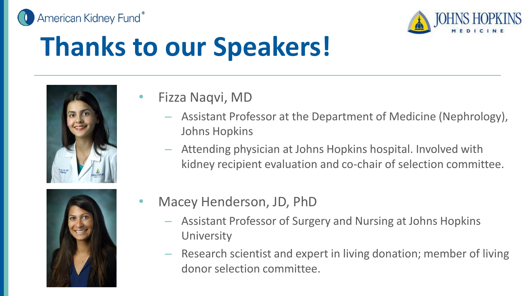



## **Thanks to our Speakers!**



- Fizza Naqvi, MD
	- Assistant Professor at the Department of Medicine (Nephrology), Johns Hopkins
	- Attending physician at Johns Hopkins hospital. Involved with kidney recipient evaluation and co-chair of selection committee.



- Macey Henderson, JD, PhD
	- Assistant Professor of Surgery and Nursing at Johns Hopkins **University**
	- Research scientist and expert in living donation; member of living donor selection committee.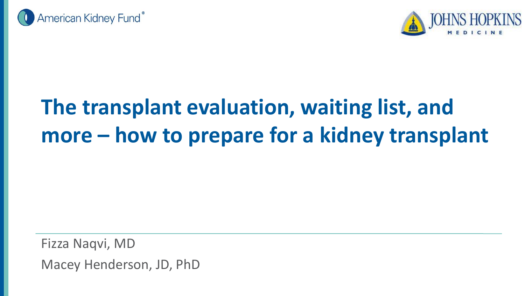



#### **The transplant evaluation, waiting list, and more – how to prepare for a kidney transplant**

Fizza Naqvi, MD Macey Henderson, JD, PhD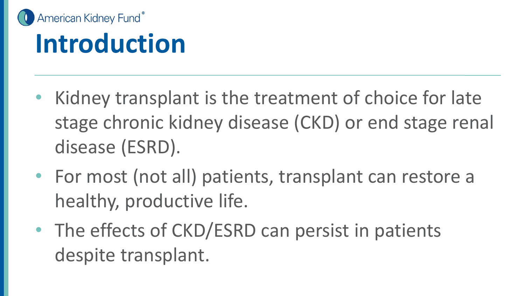

#### **Introduction**

- Kidney transplant is the treatment of choice for late stage chronic kidney disease (CKD) or end stage renal disease (ESRD).
- For most (not all) patients, transplant can restore a healthy, productive life.
- The effects of CKD/ESRD can persist in patients despite transplant.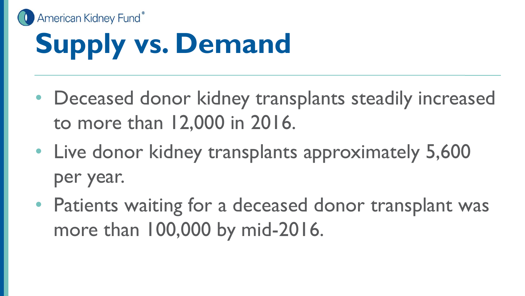

- Deceased donor kidney transplants steadily increased to more than 12,000 in 2016.
- Live donor kidney transplants approximately 5,600 per year.
- Patients waiting for a deceased donor transplant was more than 100,000 by mid-2016.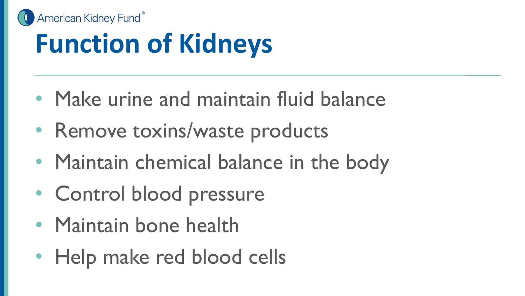

## **Function of Kidneys**

- Make urine and maintain fluid balance
- Remove toxins/waste products
- Maintain chemical balance in the body
- Control blood pressure
- Maintain bone health
- Help make red blood cells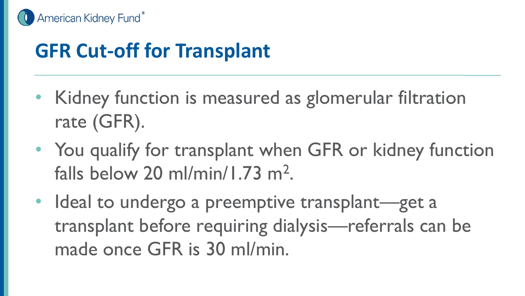

#### **GFR Cut-off for Transplant**

- Kidney function is measured as glomerular filtration rate (GFR).
- You qualify for transplant when GFR or kidney function falls below 20 ml/min/1.73 m<sup>2</sup>.
- Ideal to undergo a preemptive transplant—get a transplant before requiring dialysis—referrals can be made once GFR is 30 ml/min.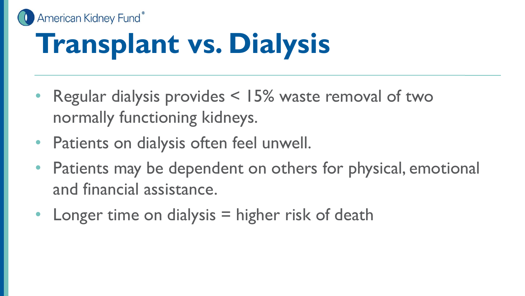# **Transplant vs. Dialysis**

American Kidney Fund®

- Regular dialysis provides < 15% waste removal of two normally functioning kidneys.
- Patients on dialysis often feel unwell.
- Patients may be dependent on others for physical, emotional and financial assistance.
- Longer time on dialysis  $=$  higher risk of death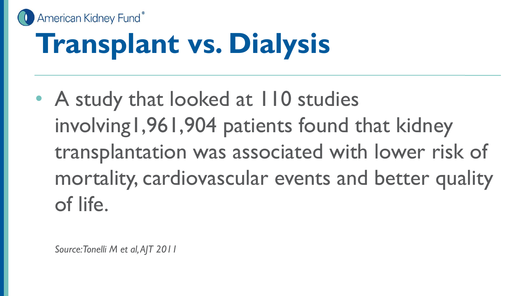#### American Kidney Fund® **Transplant vs. Dialysis**

• A study that looked at 110 studies involving1,961,904 patients found that kidney transplantation was associated with lower risk of mortality, cardiovascular events and better quality of life.

*Source: Tonelli M et al, AJT 2011*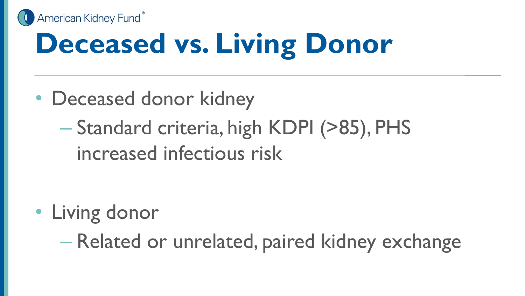

# **Deceased vs. Living Donor**

- Deceased donor kidney
	- Standard criteria, high KDPI (>85), PHS increased infectious risk

• Living donor

– Related or unrelated, paired kidney exchange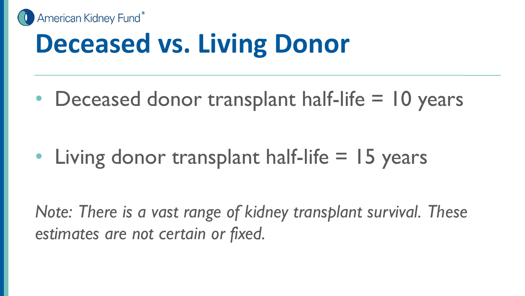

## **Deceased vs. Living Donor**

• Deceased donor transplant half-life = 10 years

• Living donor transplant half-life = 15 years

*Note: There is a vast range of kidney transplant survival. These estimates are not certain or fixed.*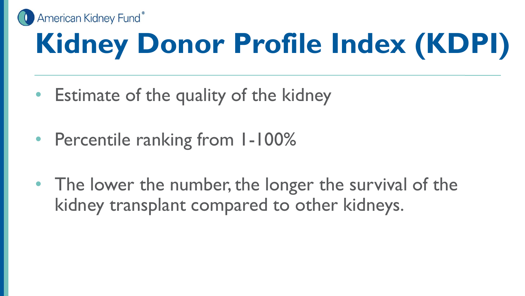

# **Kidney Donor Profile Index (KDPI)**

- Estimate of the quality of the kidney
- Percentile ranking from 1-100%
- The lower the number, the longer the survival of the kidney transplant compared to other kidneys.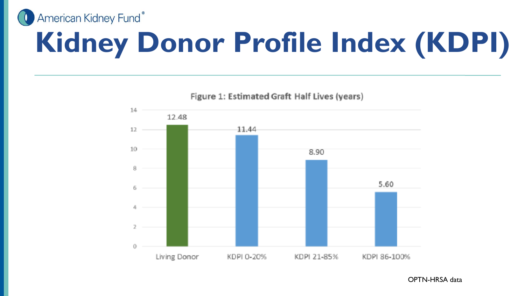American Kidney Fund®

# **Kidney Donor Profile Index (KDPI)**



Figure 1: Estimated Graft Half Lives (years)

OPTN-HRSA data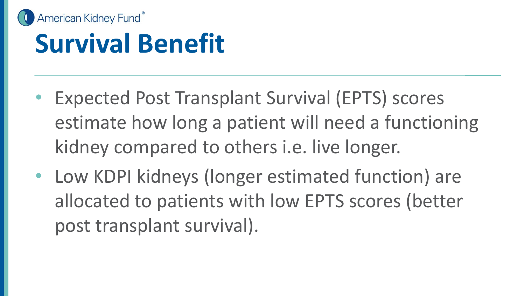

#### **Survival Benefit**

- Expected Post Transplant Survival (EPTS) scores estimate how long a patient will need a functioning kidney compared to others i.e. live longer.
- Low KDPI kidneys (longer estimated function) are allocated to patients with low EPTS scores (better post transplant survival).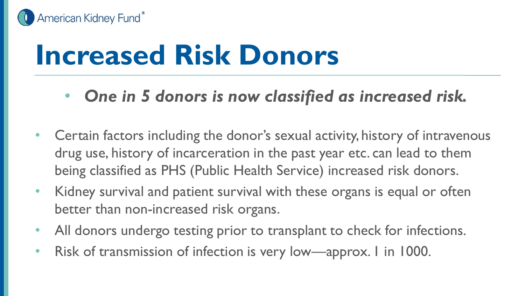

#### **Increased Risk Donors**

- *One in 5 donors is now classified as increased risk.*
- Certain factors including the donor's sexual activity, history of intravenous drug use, history of incarceration in the past year etc. can lead to them being classified as PHS (Public Health Service) increased risk donors.
- Kidney survival and patient survival with these organs is equal or often better than non-increased risk organs.
- All donors undergo testing prior to transplant to check for infections.
- Risk of transmission of infection is very low—approx. I in 1000.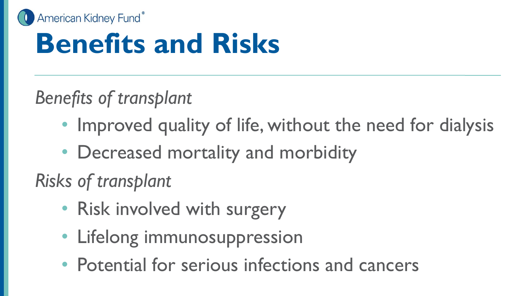

## **Benefits and Risks**

*Benefits of transplant*

- Improved quality of life, without the need for dialysis
- Decreased mortality and morbidity

*Risks of transplant*

- Risk involved with surgery
- Lifelong immunosuppression
- Potential for serious infections and cancers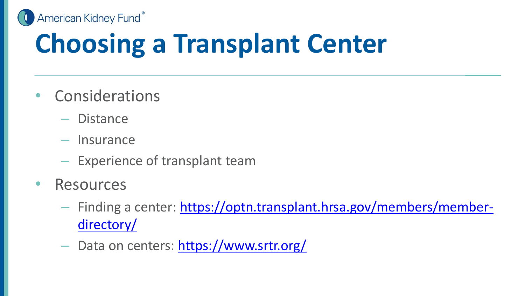

## **Choosing a Transplant Center**

- Considerations
	- Distance
	- Insurance
	- Experience of transplant team
- Resources
	- [Finding a center: https://optn.transplant.hrsa.gov/members/member](https://optn.transplant.hrsa.gov/members/member-directory/)directory/
	- Data on centers: <https://www.srtr.org/>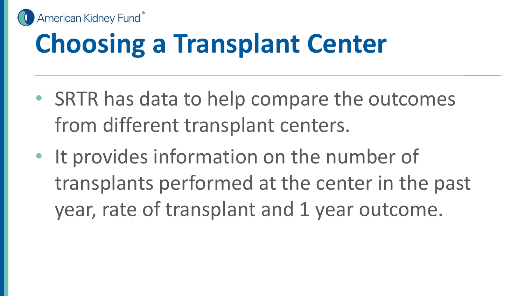

### **Choosing a Transplant Center**

- SRTR has data to help compare the outcomes from different transplant centers.
- It provides information on the number of transplants performed at the center in the past year, rate of transplant and 1 year outcome.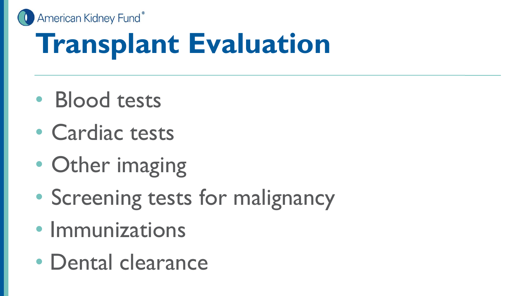American Kidney Fund®

## **Transplant Evaluation**

- Blood tests
- Cardiac tests
- Other imaging
- Screening tests for malignancy
- Immunizations
- Dental clearance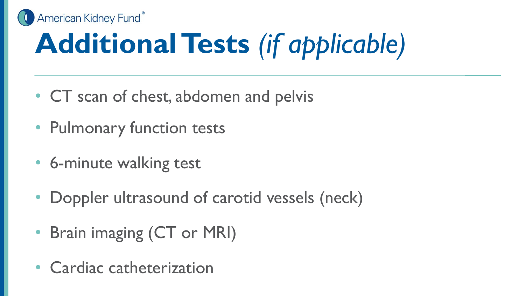

# **Additional Tests** *(if applicable)*

- CT scan of chest, abdomen and pelvis
- Pulmonary function tests
- 6-minute walking test
- Doppler ultrasound of carotid vessels (neck)
- Brain imaging (CT or MRI)
- Cardiac catheterization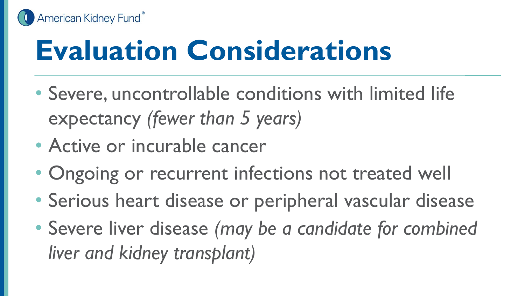

## **Evaluation Considerations**

- Severe, uncontrollable conditions with limited life expectancy *(fewer than 5 years)*
- Active or incurable cancer
- Ongoing or recurrent infections not treated well
- Serious heart disease or peripheral vascular disease
- Severe liver disease *(may be a candidate for combined liver and kidney transplant)*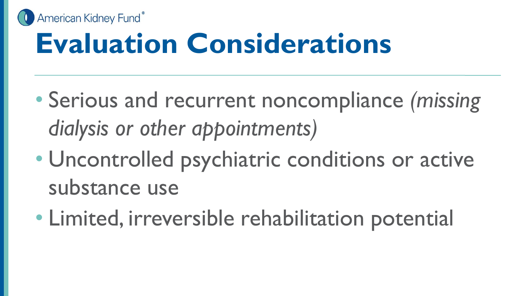

## **Evaluation Considerations**

- Serious and recurrent noncompliance *(missing dialysis or other appointments)*
- Uncontrolled psychiatric conditions or active substance use
- Limited, irreversible rehabilitation potential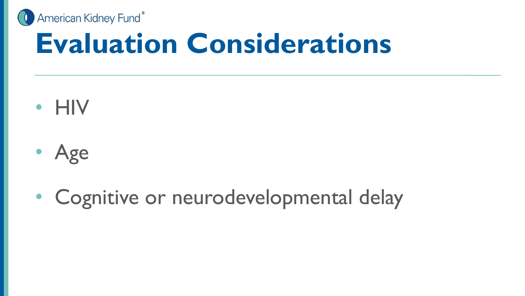

#### **Evaluation Considerations**

- HIV
- Age
- Cognitive or neurodevelopmental delay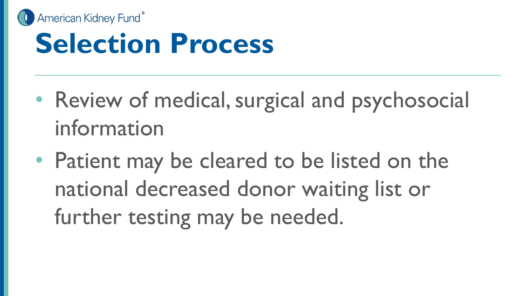

#### **Selection Process**

- Review of medical, surgical and psychosocial information
- Patient may be cleared to be listed on the national decreased donor waiting list or further testing may be needed.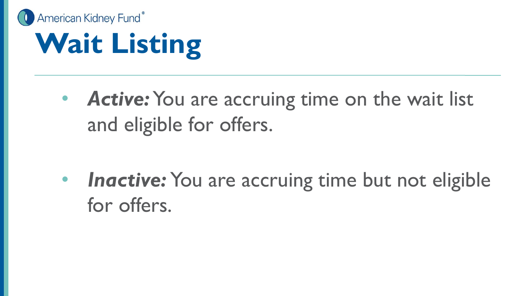

## **Wait Listing**

• **Active:** You are accruing time on the wait list and eligible for offers.

**Inactive:** You are accruing time but not eligible for offers.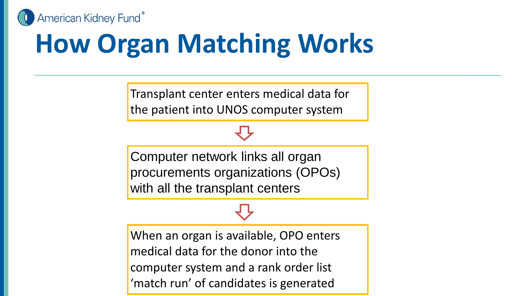

## **How Organ Matching Works**

Transplant center enters medical data for the patient into UNOS computer system

Computer network links all organ procurements organizations (OPOs) with all the transplant centers

When an organ is available, OPO enters medical data for the donor into the computer system and a rank order list 'match run' of candidates is generated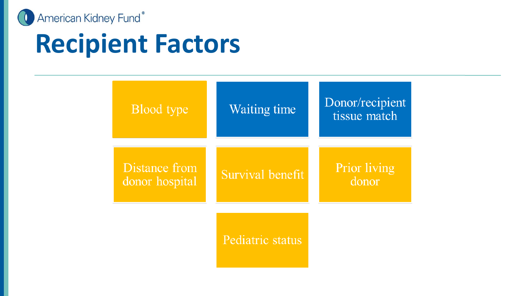

#### **Recipient Factors**

| <b>Blood</b> type               | <b>Waiting time</b> | Donor/recipient<br>tissue match |
|---------------------------------|---------------------|---------------------------------|
| Distance from<br>donor hospital | Survival benefit    | Prior living<br>donor           |
|                                 | Pediatric status    |                                 |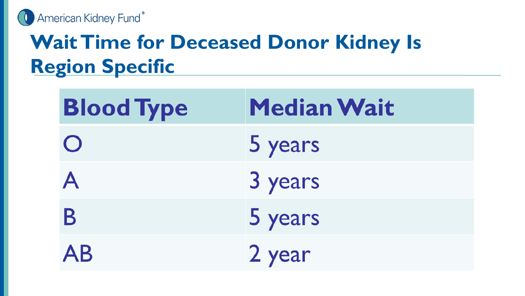

#### **Wait Time for Deceased Donor Kidney Is Region Specific**

| <b>Blood Type</b> | <b>Median Wait</b> |
|-------------------|--------------------|
| $\bigcirc$        | 5 years            |
| A                 | 3 years            |
| B                 | 5 years            |
| <b>AB</b>         | 2 year             |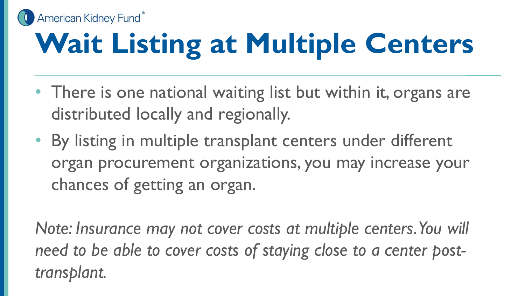

# **Wait Listing at Multiple Centers**

- There is one national waiting list but within it, organs are distributed locally and regionally.
- By listing in multiple transplant centers under different organ procurement organizations, you may increase your chances of getting an organ.

*Note: Insurance may not cover costs at multiple centers. You will need to be able to cover costs of staying close to a center posttransplant.*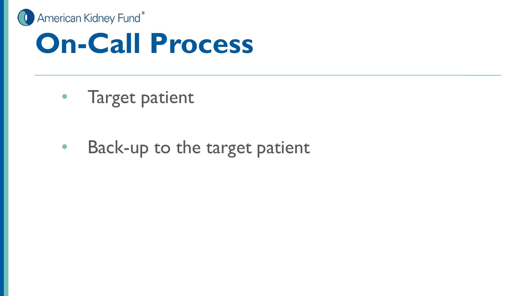

#### **On-Call Process**

- Target patient
- Back-up to the target patient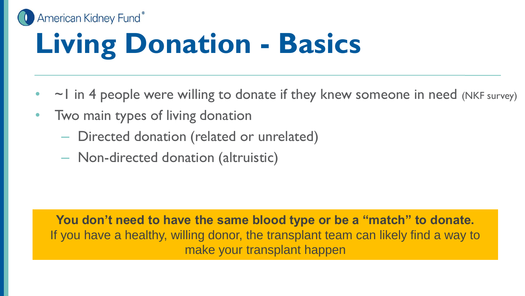#### American Kidney Fund® **Living Donation - Basics**

- $\sim$  1 in 4 people were willing to donate if they knew someone in need (NKF survey)
- Two main types of living donation
	- Directed donation (related or unrelated)
	- Non-directed donation (altruistic)

**You don't need to have the same blood type or be a "match" to donate.** If you have a healthy, willing donor, the transplant team can likely find a way to make your transplant happen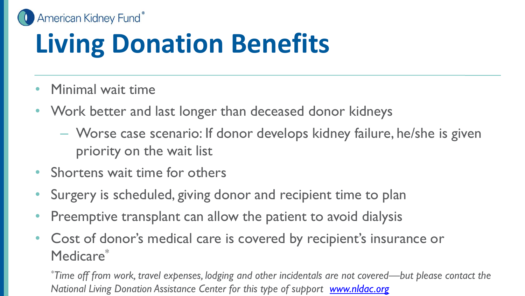American Kidney Fund®

## **Living Donation Benefits**

- Minimal wait time
- Work better and last longer than deceased donor kidneys
	- Worse case scenario: If donor develops kidney failure, he/she is given priority on the wait list
- Shortens wait time for others
- Surgery is scheduled, giving donor and recipient time to plan
- Preemptive transplant can allow the patient to avoid dialysis
- Cost of donor's medical care is covered by recipient's insurance or Medicare\*

*\*Time off from work, travel expenses, lodging and other incidentals are not covered—but please contact the National Living Donation Assistance Center for this type of support [www.nldac.org](http://www.naldac.org/)*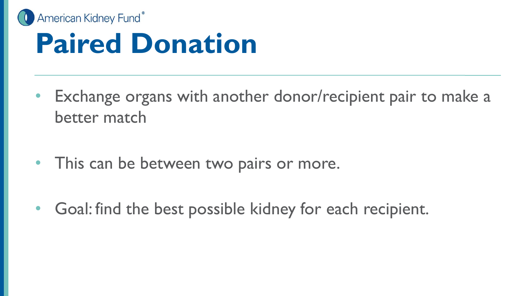

### **Paired Donation**

- Exchange organs with another donor/recipient pair to make a better match
- This can be between two pairs or more.
- Goal: find the best possible kidney for each recipient.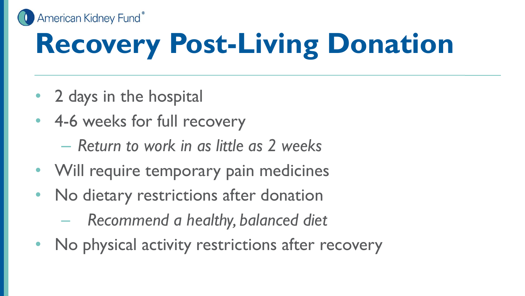American Kidney Fund®

# **Recovery Post-Living Donation**

- 2 days in the hospital
- 4-6 weeks for full recovery
	- *Return to work in as little as 2 weeks*
- Will require temporary pain medicines
- No dietary restrictions after donation
	- *Recommend a healthy, balanced diet*
- No physical activity restrictions after recovery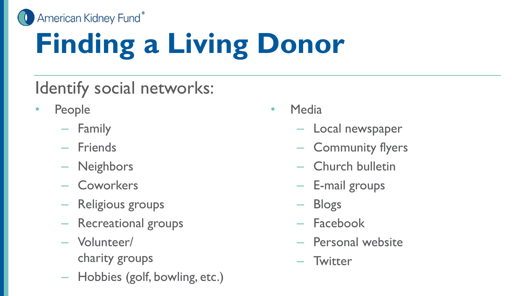American Kidney Fund®

# **Finding a Living Donor**

#### Identify social networks:

- **People** 
	- Family
	- Friends
	- Neighbors
	- Coworkers
	- Religious groups
	- Recreational groups
	- Volunteer/ charity groups
	- Hobbies (golf, bowling, etc.)
- Media
	- Local newspaper
	- Community flyers
	- Church bulletin
	- E-mail groups
	- Blogs
	- Facebook
	- Personal website
	- Twitter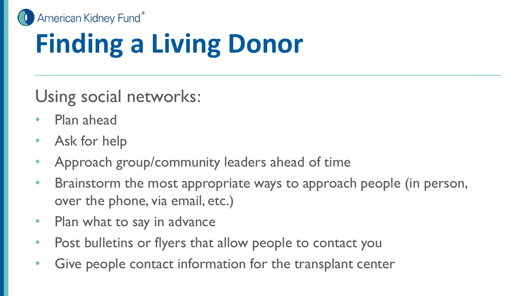

## **Finding a Living Donor**

Using social networks:

- Plan ahead
- Ask for help
- Approach group/community leaders ahead of time
- Brainstorm the most appropriate ways to approach people (in person, over the phone, via email, etc.)
- Plan what to say in advance
- Post bulletins or flyers that allow people to contact you
- Give people contact information for the transplant center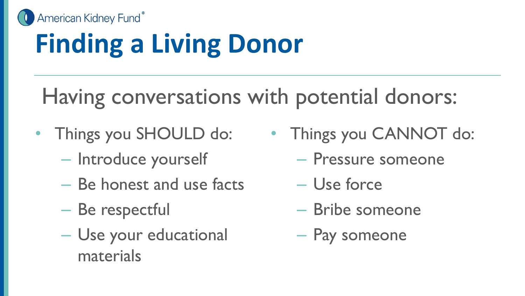

## **Finding a Living Donor**

#### Having conversations with potential donors:

- Things you SHOULD do:
	- Introduce yourself
	- Be honest and use facts
	- Be respectful
	- Use your educational materials
- Things you CANNOT do:
	- Pressure someone
	- Use force
	- Bribe someone
	- Pay someone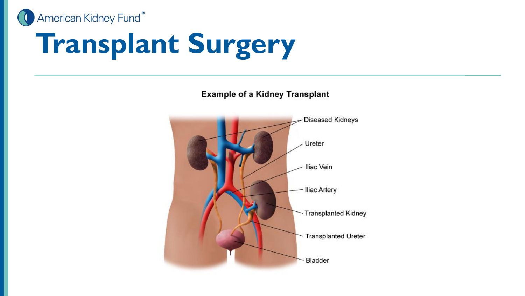

# **Transplant Surgery**

**Example of a Kidney Transplant** 

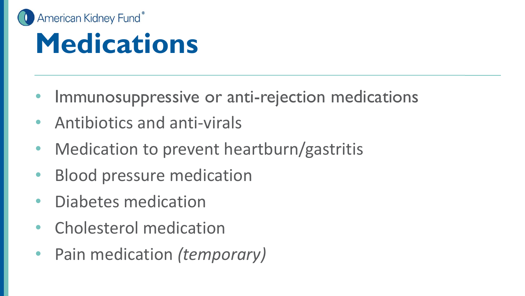

#### **Medications**

- Immunosuppressive or anti-rejection medications
- Antibiotics and anti-virals
- Medication to prevent heartburn/gastritis
- Blood pressure medication
- Diabetes medication
- Cholesterol medication
- Pain medication *(temporary)*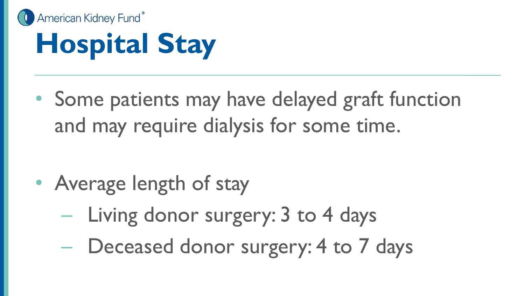

## **Hospital Stay**

• Some patients may have delayed graft function and may require dialysis for some time.

- Average length of stay
	- Living donor surgery: 3 to 4 days
	- Deceased donor surgery: 4 to 7 days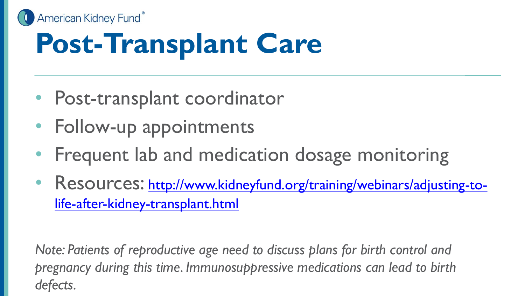

## **Post-Transplant Care**

- Post-transplant coordinator
- Follow-up appointments
- Frequent lab and medication dosage monitoring
- Resources: [http://www.kidneyfund.org/training/webinars/adjusting-to](http://www.kidneyfund.org/training/webinars/adjusting-to-life-after-kidney-transplant.html)life-after-kidney-transplant.html

*Note: Patients of reproductive age need to discuss plans for birth control and pregnancy during this time. Immunosuppressive medications can lead to birth defects.*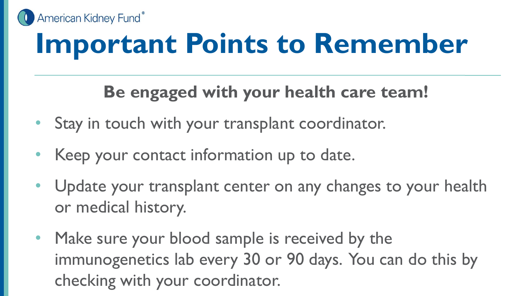

## **Important Points to Remember**

#### **Be engaged with your health care team!**

- Stay in touch with your transplant coordinator.
- Keep your contact information up to date.
- Update your transplant center on any changes to your health or medical history.
- Make sure your blood sample is received by the immunogenetics lab every 30 or 90 days. You can do this by checking with your coordinator.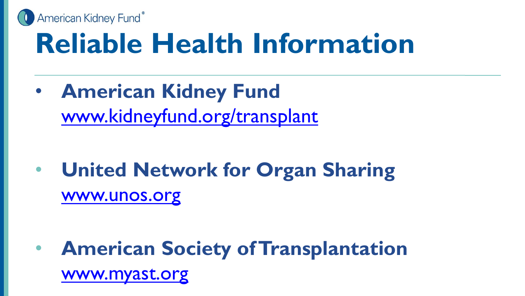

## **Reliable Health Information**

• **American Kidney Fund** [www.kidneyfund.org/transplant](http://www.kidneyfund.org/transplant)

• **United Network for Organ Sharing** [www.unos.org](http://www.unos.org/)

• **American Society of Transplantation** [www.myast.org](http://www.myast.org/)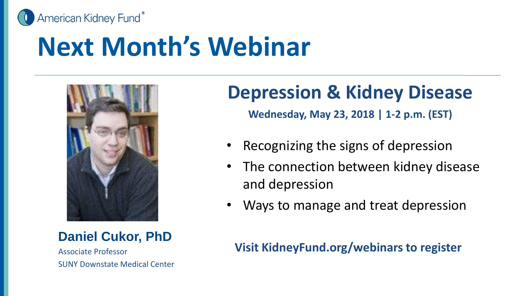

#### **Next Month's Webinar**



**Daniel Cukor, PhD**

Associate Professor SUNY Downstate Medical Center

#### **Depression & Kidney Disease**

**Wednesday, May 23, 2018 | 1-2 p.m. (EST)**

- Recognizing the signs of depression
- The connection between kidney disease and depression
- Ways to manage and treat depression

**Visit KidneyFund.org/webinars to register**